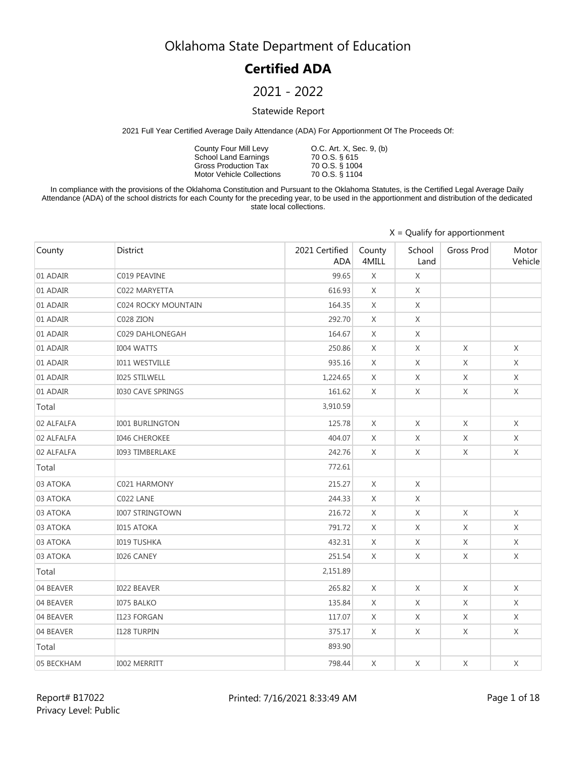### **Certified ADA**

### 2021 - 2022

#### Statewide Report

2021 Full Year Certified Average Daily Attendance (ADA) For Apportionment Of The Proceeds Of:

County Four Mill Levy School Land Earnings Gross Production Tax Motor Vehicle Collections

O.C. Art. X, Sec. 9, (b) 70 O.S. § 615 70 O.S. § 1004 70 O.S. § 1104

In compliance with the provisions of the Oklahoma Constitution and Pursuant to the Oklahoma Statutes, is the Certified Legal Average Daily Attendance (ADA) of the school districts for each County for the preceding year, to be used in the apportionment and distribution of the dedicated state local collections.

|            |                          |                              | $X =$ Qualify for apportionment |                |             |                  |  |  |
|------------|--------------------------|------------------------------|---------------------------------|----------------|-------------|------------------|--|--|
| County     | District                 | 2021 Certified<br><b>ADA</b> | County<br>4MILL                 | School<br>Land | Gross Prod  | Motor<br>Vehicle |  |  |
| 01 ADAIR   | C019 PEAVINE             | 99.65                        | X                               | X              |             |                  |  |  |
| 01 ADAIR   | C022 MARYETTA            | 616.93                       | X                               | X              |             |                  |  |  |
| 01 ADAIR   | C024 ROCKY MOUNTAIN      | 164.35                       | X                               | X              |             |                  |  |  |
| 01 ADAIR   | C028 ZION                | 292.70                       | X                               | X              |             |                  |  |  |
| 01 ADAIR   | C029 DAHLONEGAH          | 164.67                       | X                               | X              |             |                  |  |  |
| 01 ADAIR   | <b>I004 WATTS</b>        | 250.86                       | X                               | X              | X           | X                |  |  |
| 01 ADAIR   | <b>I011 WESTVILLE</b>    | 935.16                       | X                               | X              | X           | X                |  |  |
| 01 ADAIR   | I025 STILWELL            | 1,224.65                     | X                               | X              | X           | X                |  |  |
| 01 ADAIR   | <b>I030 CAVE SPRINGS</b> | 161.62                       | X                               | X              | X           | X                |  |  |
| Total      |                          | 3,910.59                     |                                 |                |             |                  |  |  |
| 02 ALFALFA | <b>I001 BURLINGTON</b>   | 125.78                       | X                               | X              | $\chi$      | $\chi$           |  |  |
| 02 ALFALFA | <b>I046 CHEROKEE</b>     | 404.07                       | $\chi$                          | X              | X           | $\times$         |  |  |
| 02 ALFALFA | <b>I093 TIMBERLAKE</b>   | 242.76                       | X                               | X              | $\mathsf X$ | $\mathsf X$      |  |  |
| Total      |                          | 772.61                       |                                 |                |             |                  |  |  |
| 03 ATOKA   | C021 HARMONY             | 215.27                       | X                               | X              |             |                  |  |  |
| 03 ATOKA   | C022 LANE                | 244.33                       | X                               | X              |             |                  |  |  |
| 03 ATOKA   | <b>I007 STRINGTOWN</b>   | 216.72                       | X                               | X              | X           | X                |  |  |
| 03 ATOKA   | <b>I015 ATOKA</b>        | 791.72                       | X                               | X              | X           | $\chi$           |  |  |
| 03 ATOKA   | <b>I019 TUSHKA</b>       | 432.31                       | X                               | $\mathsf X$    | X           | $\chi$           |  |  |
| 03 ATOKA   | <b>I026 CANEY</b>        | 251.54                       | X                               | X              | X           | $\chi$           |  |  |
| Total      |                          | 2,151.89                     |                                 |                |             |                  |  |  |
| 04 BEAVER  | <b>I022 BEAVER</b>       | 265.82                       | X                               | X              | X           | $\chi$           |  |  |
| 04 BEAVER  | <b>I075 BALKO</b>        | 135.84                       | X                               | X              | X           | X                |  |  |
| 04 BEAVER  | I123 FORGAN              | 117.07                       | X                               | X              | X           | X                |  |  |
| 04 BEAVER  | <b>I128 TURPIN</b>       | 375.17                       | X                               | X              | X           | X                |  |  |
| Total      |                          | 893.90                       |                                 |                |             |                  |  |  |
| 05 BECKHAM | <b>I002 MERRITT</b>      | 798.44                       | X                               | $\mathsf X$    | $\mathsf X$ | $\chi$           |  |  |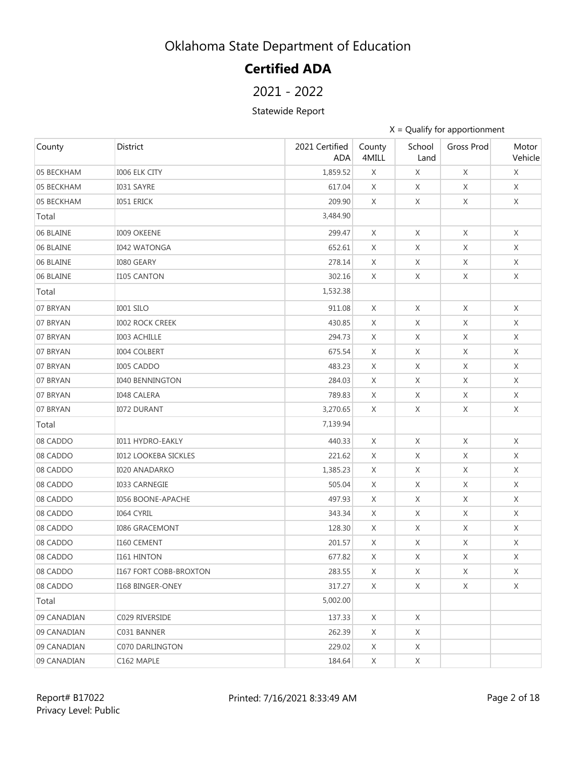# **Certified ADA**

### 2021 - 2022

#### Statewide Report

| County      | District                      | 2021 Certified<br><b>ADA</b> | County<br>4MILL | School<br>Land | Gross Prod  | Motor<br>Vehicle |
|-------------|-------------------------------|------------------------------|-----------------|----------------|-------------|------------------|
| 05 BECKHAM  | <b>I006 ELK CITY</b>          | 1,859.52                     | X               | X              | X           | X                |
| 05 BECKHAM  | I031 SAYRE                    | 617.04                       | X               | X              | X           | X                |
| 05 BECKHAM  | <b>IO51 ERICK</b>             | 209.90                       | X               | X              | X           | X                |
| Total       |                               | 3,484.90                     |                 |                |             |                  |
| 06 BLAINE   | <b>I009 OKEENE</b>            | 299.47                       | X               | X              | X           | X                |
| 06 BLAINE   | <b>I042 WATONGA</b>           | 652.61                       | X               | X              | X           | X                |
| 06 BLAINE   | <b>I080 GEARY</b>             | 278.14                       | X               | X              | X           | X                |
| 06 BLAINE   | <b>I105 CANTON</b>            | 302.16                       | X               | X              | X           | X                |
| Total       |                               | 1,532.38                     |                 |                |             |                  |
| 07 BRYAN    | I001 SILO                     | 911.08                       | X               | X              | X           | X                |
| 07 BRYAN    | <b>I002 ROCK CREEK</b>        | 430.85                       | X               | X              | X           | X                |
| 07 BRYAN    | <b>I003 ACHILLE</b>           | 294.73                       | X               | X              | X           | X                |
| 07 BRYAN    | <b>I004 COLBERT</b>           | 675.54                       | X               | X              | X           | X                |
| 07 BRYAN    | I005 CADDO                    | 483.23                       | X               | X              | X           | X                |
| 07 BRYAN    | <b>I040 BENNINGTON</b>        | 284.03                       | X               | X              | X           | X                |
| 07 BRYAN    | <b>I048 CALERA</b>            | 789.83                       | X               | X              | X           | X                |
| 07 BRYAN    | <b>I072 DURANT</b>            | 3,270.65                     | X               | X              | X           | X                |
| Total       |                               | 7,139.94                     |                 |                |             |                  |
| 08 CADDO    | <b>I011 HYDRO-EAKLY</b>       | 440.33                       | X               | X              | X           | X                |
| 08 CADDO    | <b>I012 LOOKEBA SICKLES</b>   | 221.62                       | X               | X              | X           | X                |
| 08 CADDO    | <b>I020 ANADARKO</b>          | 1,385.23                     | X               | X              | $\mathsf X$ | X                |
| 08 CADDO    | <b>I033 CARNEGIE</b>          | 505.04                       | X               | X              | X           | X                |
| 08 CADDO    | <b>I056 BOONE-APACHE</b>      | 497.93                       | X               | X              | X           | X                |
| 08 CADDO    | I064 CYRIL                    | 343.34                       | X               | X              | X           | X                |
| 08 CADDO    | <b>I086 GRACEMONT</b>         | 128.30                       | X               | X              | $\mathsf X$ | X                |
| 08 CADDO    | I160 CEMENT                   | 201.57                       | X               | X              | X           | X                |
| 08 CADDO    | <b>I161 HINTON</b>            | 677.82                       | X               | $\mathsf X$    | $\mathsf X$ | X                |
| 08 CADDO    | <b>I167 FORT COBB-BROXTON</b> | 283.55                       | X               | X              | X           | X                |
| 08 CADDO    | I168 BINGER-ONEY              | 317.27                       | X               | X              | X           | X                |
| Total       |                               | 5,002.00                     |                 |                |             |                  |
| 09 CANADIAN | C029 RIVERSIDE                | 137.33                       | X               | X              |             |                  |
| 09 CANADIAN | C031 BANNER                   | 262.39                       | X               | X              |             |                  |
| 09 CANADIAN | C070 DARLINGTON               | 229.02                       | X               | X              |             |                  |
| 09 CANADIAN | C162 MAPLE                    | 184.64                       | X               | X              |             |                  |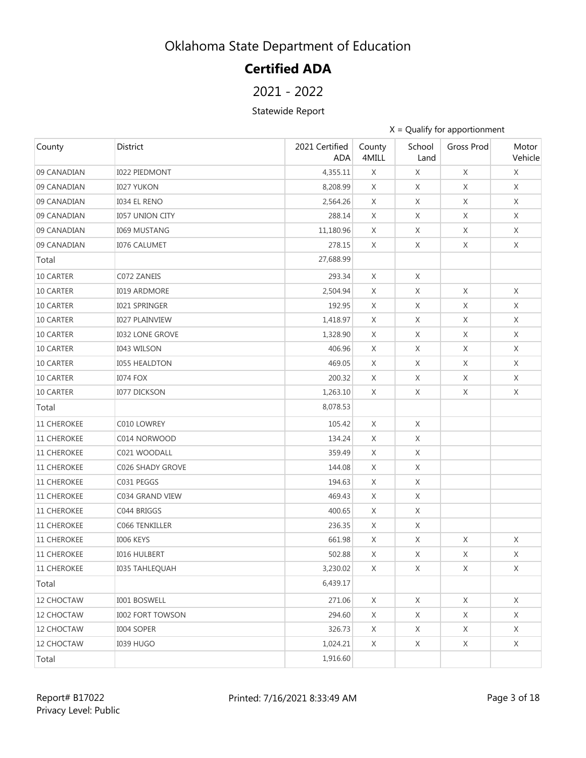# **Certified ADA**

### 2021 - 2022

#### Statewide Report

| County             | District                | 2021 Certified<br><b>ADA</b> | County<br>4MILL | School<br>Land | Gross Prod  | Motor<br>Vehicle |
|--------------------|-------------------------|------------------------------|-----------------|----------------|-------------|------------------|
| 09 CANADIAN        | <b>I022 PIEDMONT</b>    | 4,355.11                     | X               | X              | X           | X                |
| 09 CANADIAN        | <b>I027 YUKON</b>       | 8,208.99                     | X               | X              | X           | X                |
| 09 CANADIAN        | <b>I034 EL RENO</b>     | 2,564.26                     | X               | X              | X           | X                |
| 09 CANADIAN        | <b>I057 UNION CITY</b>  | 288.14                       | X               | X              | X           | Χ                |
| 09 CANADIAN        | <b>I069 MUSTANG</b>     | 11,180.96                    | X               | X              | X           | X                |
| 09 CANADIAN        | <b>I076 CALUMET</b>     | 278.15                       | X               | X              | X           | X                |
| Total              |                         | 27,688.99                    |                 |                |             |                  |
| 10 CARTER          | C072 ZANEIS             | 293.34                       | X               | X              |             |                  |
| 10 CARTER          | <b>I019 ARDMORE</b>     | 2,504.94                     | X               | X              | $\mathsf X$ | $\chi$           |
| 10 CARTER          | <b>I021 SPRINGER</b>    | 192.95                       | X               | X              | Χ           | X                |
| 10 CARTER          | <b>I027 PLAINVIEW</b>   | 1,418.97                     | X               | X              | X           | X                |
| 10 CARTER          | <b>I032 LONE GROVE</b>  | 1,328.90                     | X               | X              | X           | X                |
| 10 CARTER          | <b>I043 WILSON</b>      | 406.96                       | X               | X              | X           | X                |
| 10 CARTER          | <b>I055 HEALDTON</b>    | 469.05                       | X               | X              | X           | X                |
| 10 CARTER          | <b>I074 FOX</b>         | 200.32                       | X               | X              | X           | X                |
| 10 CARTER          | <b>I077 DICKSON</b>     | 1,263.10                     | X               | X              | X           | X                |
| Total              |                         | 8,078.53                     |                 |                |             |                  |
| 11 CHEROKEE        | C010 LOWREY             | 105.42                       | X               | X              |             |                  |
| 11 CHEROKEE        | C014 NORWOOD            | 134.24                       | X               | X              |             |                  |
| <b>11 CHEROKEE</b> | C021 WOODALL            | 359.49                       | X               | X              |             |                  |
| 11 CHEROKEE        | C026 SHADY GROVE        | 144.08                       | X               | X              |             |                  |
| <b>11 CHEROKEE</b> | C031 PEGGS              | 194.63                       | X               | X              |             |                  |
| <b>11 CHEROKEE</b> | C034 GRAND VIEW         | 469.43                       | X               | X              |             |                  |
| <b>11 CHEROKEE</b> | C044 BRIGGS             | 400.65                       | X               | X              |             |                  |
| 11 CHEROKEE        | C066 TENKILLER          | 236.35                       | X               | X              |             |                  |
| <b>11 CHEROKEE</b> | I006 KEYS               | 661.98                       | X               | X              | X           | X                |
| <b>11 CHEROKEE</b> | <b>I016 HULBERT</b>     | 502.88                       | X               | X              | X           | X                |
| <b>11 CHEROKEE</b> | 1035 TAHLEQUAH          | 3,230.02                     | X               | X              | X           | X                |
| Total              |                         | 6,439.17                     |                 |                |             |                  |
| 12 CHOCTAW         | I001 BOSWELL            | 271.06                       | X               | X              | X           | X                |
| 12 CHOCTAW         | <b>I002 FORT TOWSON</b> | 294.60                       | X               | X              | X           | X                |
| 12 CHOCTAW         | I004 SOPER              | 326.73                       | X               | X              | X           | X                |
| 12 CHOCTAW         | <b>I039 HUGO</b>        | 1,024.21                     | X               | X              | X           | X                |
| Total              |                         | 1,916.60                     |                 |                |             |                  |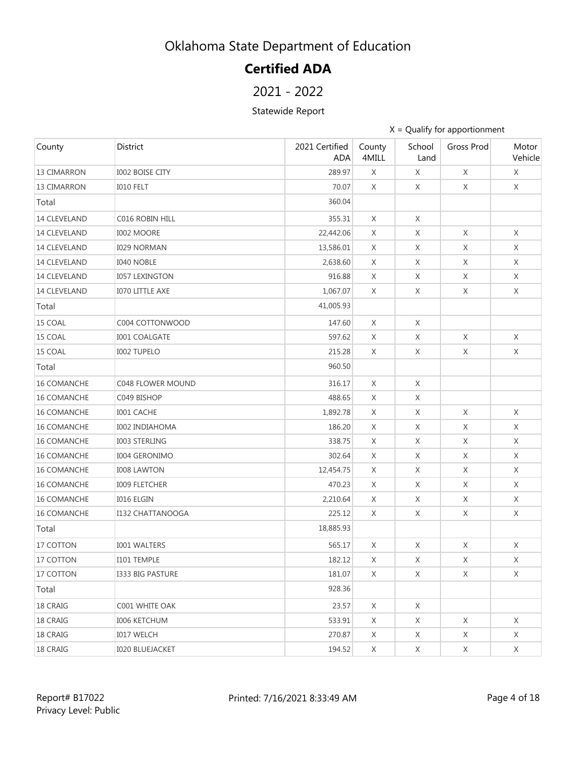# **Certified ADA**

### 2021 - 2022

#### Statewide Report

| County              | District                | 2021 Certified<br><b>ADA</b> | County<br>4MILL | School<br>Land | Gross Prod  | Motor<br>Vehicle |
|---------------------|-------------------------|------------------------------|-----------------|----------------|-------------|------------------|
| <b>13 CIMARRON</b>  | <b>I002 BOISE CITY</b>  | 289.97                       | X               | X              | $\mathsf X$ | X                |
| 13 CIMARRON         | IO10 FELT               | 70.07                        | X               | X              | X           | X                |
| Total               |                         | 360.04                       |                 |                |             |                  |
| 14 CLEVELAND        | C016 ROBIN HILL         | 355.31                       | X               | X              |             |                  |
| <b>14 CLEVELAND</b> | <b>I002 MOORE</b>       | 22,442.06                    | X               | X              | X           | $\chi$           |
| 14 CLEVELAND        | <b>I029 NORMAN</b>      | 13,586.01                    | X               | $\mathsf X$    | X           | X                |
| 14 CLEVELAND        | <b>I040 NOBLE</b>       | 2,638.60                     | X               | X              | X           | X                |
| 14 CLEVELAND        | <b>I057 LEXINGTON</b>   | 916.88                       | X               | X              | X           | X                |
| 14 CLEVELAND        | <b>I070 LITTLE AXE</b>  | 1,067.07                     | X               | X              | X           | X                |
| Total               |                         | 41,005.93                    |                 |                |             |                  |
| 15 COAL             | C004 COTTONWOOD         | 147.60                       | X               | X              |             |                  |
| 15 COAL             | <b>I001 COALGATE</b>    | 597.62                       | X               | X              | X           | X                |
| 15 COAL             | <b>I002 TUPELO</b>      | 215.28                       | X               | X              | X           | $\times$         |
| Total               |                         | 960.50                       |                 |                |             |                  |
| 16 COMANCHE         | C048 FLOWER MOUND       | 316.17                       | X               | X              |             |                  |
| <b>16 COMANCHE</b>  | C049 BISHOP             | 488.65                       | X               | X              |             |                  |
| <b>16 COMANCHE</b>  | I001 CACHE              | 1,892.78                     | X               | X              | X           | X                |
| 16 COMANCHE         | <b>I002 INDIAHOMA</b>   | 186.20                       | X               | X              | X           | X                |
| <b>16 COMANCHE</b>  | <b>I003 STERLING</b>    | 338.75                       | X               | X              | X           | X                |
| <b>16 COMANCHE</b>  | <b>I004 GERONIMO</b>    | 302.64                       | X               | X              | X           | X                |
| 16 COMANCHE         | <b>I008 LAWTON</b>      | 12,454.75                    | X               | X              | X           | X                |
| 16 COMANCHE         | <b>I009 FLETCHER</b>    | 470.23                       | X               | X              | X           | X                |
| 16 COMANCHE         | <b>I016 ELGIN</b>       | 2,210.64                     | X               | X              | X           | X                |
| <b>16 COMANCHE</b>  | <b>I132 CHATTANOOGA</b> | 225.12                       | X               | X              | X           | X                |
| Total               |                         | 18,885.93                    |                 |                |             |                  |
| 17 COTTON           | <b>I001 WALTERS</b>     | 565.17                       | X               | X              | X           | X                |
| 17 COTTON           | I101 TEMPLE             | 182.12                       | X               | X              | X           | X                |
| 17 COTTON           | <b>I333 BIG PASTURE</b> | 181.07                       | X               | X              | X           | X                |
| Total               |                         | 928.36                       |                 |                |             |                  |
| 18 CRAIG            | C001 WHITE OAK          | 23.57                        | X               | X              |             |                  |
| 18 CRAIG            | <b>I006 KETCHUM</b>     | 533.91                       | X               | X              | Χ           | Χ                |
| 18 CRAIG            | <b>I017 WELCH</b>       | 270.87                       | X               | X              | X           | X                |
| 18 CRAIG            | <b>I020 BLUEJACKET</b>  | 194.52                       | X               | X              | X           | X                |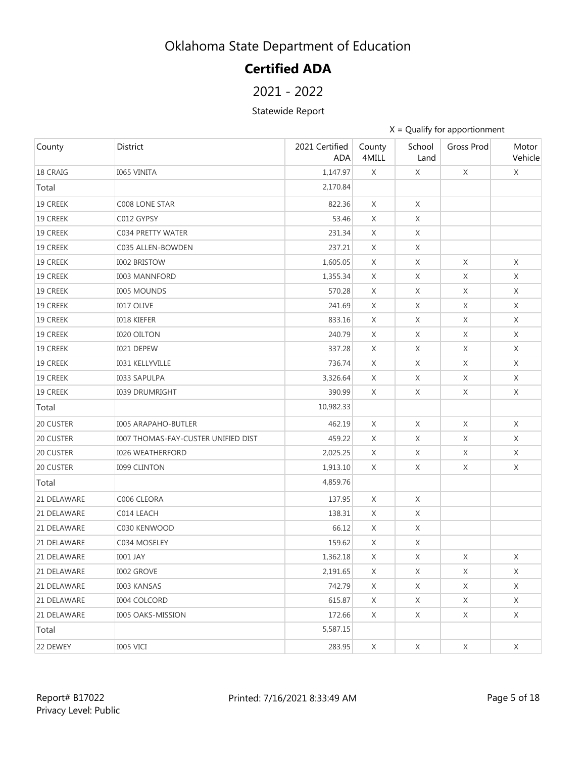# **Certified ADA**

2021 - 2022

Statewide Report

| County      | District                            | 2021 Certified<br><b>ADA</b> | County<br>4MILL | School<br>Land | Gross Prod  | Motor<br>Vehicle |
|-------------|-------------------------------------|------------------------------|-----------------|----------------|-------------|------------------|
| 18 CRAIG    | <b>I065 VINITA</b>                  | 1,147.97                     | X               | X              | X           | X                |
| Total       |                                     | 2,170.84                     |                 |                |             |                  |
| 19 CREEK    | C008 LONE STAR                      | 822.36                       | X               | X              |             |                  |
| 19 CREEK    | C012 GYPSY                          | 53.46                        | X               | X              |             |                  |
| 19 CREEK    | C034 PRETTY WATER                   | 231.34                       | X               | X              |             |                  |
| 19 CREEK    | C035 ALLEN-BOWDEN                   | 237.21                       | X               | X              |             |                  |
| 19 CREEK    | <b>I002 BRISTOW</b>                 | 1,605.05                     | X               | X              | X           | X                |
| 19 CREEK    | <b>I003 MANNFORD</b>                | 1,355.34                     | X               | X              | X           | X                |
| 19 CREEK    | <b>I005 MOUNDS</b>                  | 570.28                       | X               | X              | X           | X                |
| 19 CREEK    | <b>I017 OLIVE</b>                   | 241.69                       | X               | X              | X           | X                |
| 19 CREEK    | <b>IO18 KIEFER</b>                  | 833.16                       | X               | X              | X           | X                |
| 19 CREEK    | <b>I020 OILTON</b>                  | 240.79                       | X               | X              | X           | X                |
| 19 CREEK    | I021 DEPEW                          | 337.28                       | X               | X              | X           | X                |
| 19 CREEK    | <b>I031 KELLYVILLE</b>              | 736.74                       | X               | X              | X           | X                |
| 19 CREEK    | <b>I033 SAPULPA</b>                 | 3,326.64                     | X               | X              | X           | X                |
| 19 CREEK    | <b>I039 DRUMRIGHT</b>               | 390.99                       | X               | X              | X           | X                |
| Total       |                                     | 10,982.33                    |                 |                |             |                  |
| 20 CUSTER   | <b>I005 ARAPAHO-BUTLER</b>          | 462.19                       | X               | X              | X           | X                |
| 20 CUSTER   | I007 THOMAS-FAY-CUSTER UNIFIED DIST | 459.22                       | X               | X              | X           | X                |
| 20 CUSTER   | <b>I026 WEATHERFORD</b>             | 2,025.25                     | X               | X              | X           | X                |
| 20 CUSTER   | <b>I099 CLINTON</b>                 | 1,913.10                     | X               | X              | X           | X                |
| Total       |                                     | 4,859.76                     |                 |                |             |                  |
| 21 DELAWARE | C006 CLEORA                         | 137.95                       | X               | X              |             |                  |
| 21 DELAWARE | C014 LEACH                          | 138.31                       | X               | X              |             |                  |
| 21 DELAWARE | C030 KENWOOD                        | 66.12                        | X               | X              |             |                  |
| 21 DELAWARE | C034 MOSELEY                        | 159.62                       | X               | X              |             |                  |
| 21 DELAWARE | <b>I001 JAY</b>                     | 1,362.18                     | X               | X              | X           | X                |
| 21 DELAWARE | <b>I002 GROVE</b>                   | 2,191.65                     | X               | X              | $\mathsf X$ | X                |
| 21 DELAWARE | <b>I003 KANSAS</b>                  | 742.79                       | X               | X              | X           | X                |
| 21 DELAWARE | <b>I004 COLCORD</b>                 | 615.87                       | X               | X              | X           | X                |
| 21 DELAWARE | <b>I005 OAKS-MISSION</b>            | 172.66                       | X               | X              | X           | X                |
| Total       |                                     | 5,587.15                     |                 |                |             |                  |
| 22 DEWEY    | I005 VICI                           | 283.95                       | X               | $\mathsf X$    | X           | X                |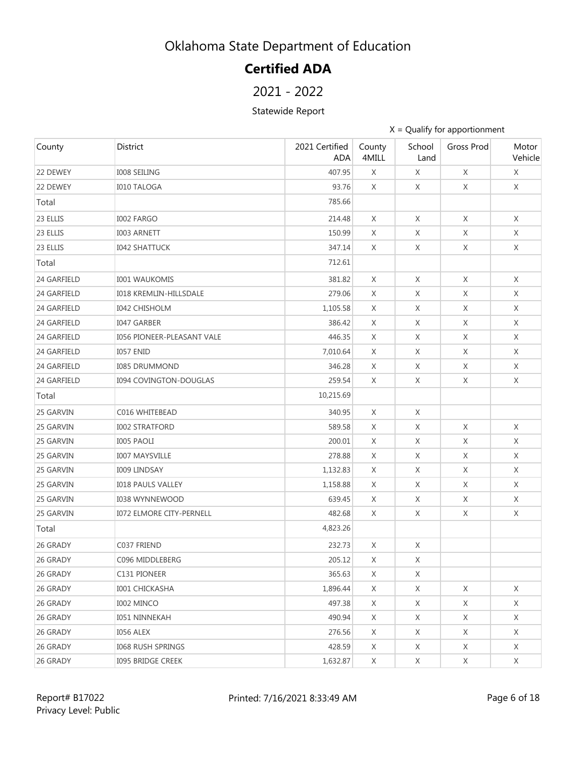# **Certified ADA**

### 2021 - 2022

#### Statewide Report

| County      | District                          | 2021 Certified<br><b>ADA</b> | County<br>4MILL | School<br>Land | Gross Prod  | Motor<br>Vehicle |
|-------------|-----------------------------------|------------------------------|-----------------|----------------|-------------|------------------|
| 22 DEWEY    | <b>I008 SEILING</b>               | 407.95                       | X               | X              | X           | X                |
| 22 DEWEY    | <b>I010 TALOGA</b>                | 93.76                        | X               | X              | X           | X                |
| Total       |                                   | 785.66                       |                 |                |             |                  |
| 23 ELLIS    | <b>I002 FARGO</b>                 | 214.48                       | X               | X              | X           | Χ                |
| 23 ELLIS    | I003 ARNETT                       | 150.99                       | X               | X              | X           | X                |
| 23 ELLIS    | <b>I042 SHATTUCK</b>              | 347.14                       | X               | X              | X           | X                |
| Total       |                                   | 712.61                       |                 |                |             |                  |
| 24 GARFIELD | <b>I001 WAUKOMIS</b>              | 381.82                       | X               | X              | X           | $\chi$           |
| 24 GARFIELD | <b>I018 KREMLIN-HILLSDALE</b>     | 279.06                       | X               | X              | X           | X                |
| 24 GARFIELD | <b>I042 CHISHOLM</b>              | 1,105.58                     | X               | X              | X           | X                |
| 24 GARFIELD | <b>I047 GARBER</b>                | 386.42                       | X               | X              | X           | X                |
| 24 GARFIELD | <b>I056 PIONEER-PLEASANT VALE</b> | 446.35                       | X               | X              | X           | X                |
| 24 GARFIELD | <b>I057 ENID</b>                  | 7,010.64                     | X               | X              | X           | X                |
| 24 GARFIELD | <b>I085 DRUMMOND</b>              | 346.28                       | X               | X              | X           | X                |
| 24 GARFIELD | <b>I094 COVINGTON-DOUGLAS</b>     | 259.54                       | X               | X              | X           | X                |
| Total       |                                   | 10,215.69                    |                 |                |             |                  |
| 25 GARVIN   | C016 WHITEBEAD                    | 340.95                       | X               | X              |             |                  |
| 25 GARVIN   | <b>I002 STRATFORD</b>             | 589.58                       | X               | X              | X           | X                |
| 25 GARVIN   | <b>I005 PAOLI</b>                 | 200.01                       | X               | X              | X           | X                |
| 25 GARVIN   | <b>I007 MAYSVILLE</b>             | 278.88                       | X               | X              | X           | X                |
| 25 GARVIN   | <b>I009 LINDSAY</b>               | 1,132.83                     | X               | X              | $\mathsf X$ | X                |
| 25 GARVIN   | <b>I018 PAULS VALLEY</b>          | 1,158.88                     | X               | X              | X           | X                |
| 25 GARVIN   | <b>I038 WYNNEWOOD</b>             | 639.45                       | X               | X              | X           | X                |
| 25 GARVIN   | <b>I072 ELMORE CITY-PERNELL</b>   | 482.68                       | X               | X              | X           | X                |
| Total       |                                   | 4,823.26                     |                 |                |             |                  |
| 26 GRADY    | C037 FRIEND                       | 232.73                       | X               | X              |             |                  |
| 26 GRADY    | C096 MIDDLEBERG                   | 205.12                       | X               | X              |             |                  |
| 26 GRADY    | C131 PIONEER                      | 365.63                       | X               | X              |             |                  |
| 26 GRADY    | <b>I001 CHICKASHA</b>             | 1,896.44                     | X               | X              | X           | X                |
| 26 GRADY    | I002 MINCO                        | 497.38                       | X               | X              | X           | X                |
| 26 GRADY    | <b>I051 NINNEKAH</b>              | 490.94                       | X               | X              | X           | X                |
| 26 GRADY    | I056 ALEX                         | 276.56                       | X               | X              | X           | X                |
| 26 GRADY    | <b>I068 RUSH SPRINGS</b>          | 428.59                       | X               | X              | X           | X                |
| 26 GRADY    | <b>I095 BRIDGE CREEK</b>          | 1,632.87                     | X               | X              | X           | X                |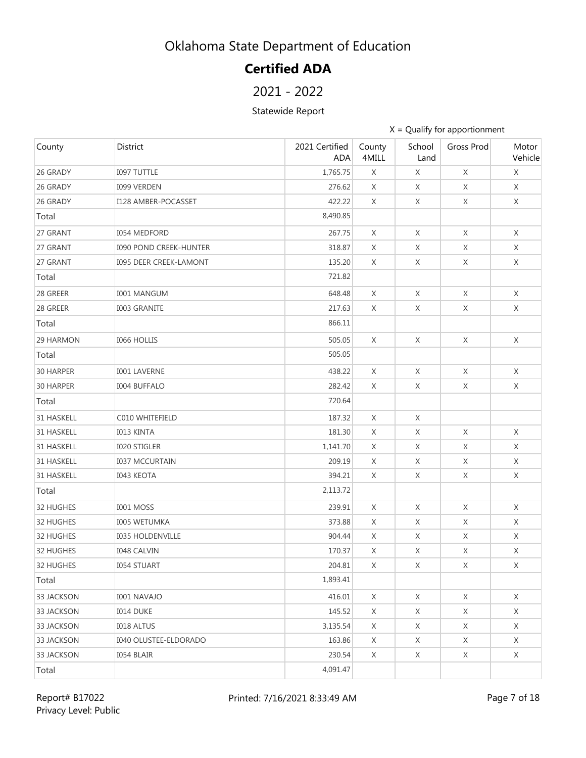# **Certified ADA**

### 2021 - 2022

#### Statewide Report

| County     | <b>District</b>               | 2021 Certified<br><b>ADA</b> | County<br>4MILL | School<br>Land | Gross Prod  | Motor<br>Vehicle |
|------------|-------------------------------|------------------------------|-----------------|----------------|-------------|------------------|
| 26 GRADY   | <b>I097 TUTTLE</b>            | 1,765.75                     | X               | X              | X           | X                |
| 26 GRADY   | <b>I099 VERDEN</b>            | 276.62                       | $\times$        | X              | X           | $\chi$           |
| 26 GRADY   | I128 AMBER-POCASSET           | 422.22                       | X               | X              | X           | X                |
| Total      |                               | 8,490.85                     |                 |                |             |                  |
| 27 GRANT   | <b>I054 MEDFORD</b>           | 267.75                       | $\times$        | X              | X           | X                |
| 27 GRANT   | <b>I090 POND CREEK-HUNTER</b> | 318.87                       | X               | X              | X           | X                |
| 27 GRANT   | 1095 DEER CREEK-LAMONT        | 135.20                       | X               | X              | X           | X                |
| Total      |                               | 721.82                       |                 |                |             |                  |
| 28 GREER   | <b>I001 MANGUM</b>            | 648.48                       | X               | X              | X           | X                |
| 28 GREER   | <b>I003 GRANITE</b>           | 217.63                       | X               | X              | X           | X                |
| Total      |                               | 866.11                       |                 |                |             |                  |
| 29 HARMON  | <b>I066 HOLLIS</b>            | 505.05                       | X               | X              | X           | X                |
| Total      |                               | 505.05                       |                 |                |             |                  |
| 30 HARPER  | <b>I001 LAVERNE</b>           | 438.22                       | X               | X              | X           | X                |
| 30 HARPER  | <b>I004 BUFFALO</b>           | 282.42                       | X               | X              | X           | X                |
| Total      |                               | 720.64                       |                 |                |             |                  |
| 31 HASKELL | C010 WHITEFIELD               | 187.32                       | X               | X              |             |                  |
| 31 HASKELL | <b>I013 KINTA</b>             | 181.30                       | X               | X              | X           | X                |
| 31 HASKELL | <b>I020 STIGLER</b>           | 1,141.70                     | X               | X              | $\chi$      | X                |
| 31 HASKELL | <b>I037 MCCURTAIN</b>         | 209.19                       | X               | Χ              | X           | X                |
| 31 HASKELL | <b>I043 KEOTA</b>             | 394.21                       | X               | X              | $\mathsf X$ | X                |
| Total      |                               | 2,113.72                     |                 |                |             |                  |
| 32 HUGHES  | <b>I001 MOSS</b>              | 239.91                       | X               | X              | X           | X                |
| 32 HUGHES  | <b>I005 WETUMKA</b>           | 373.88                       | X               | X              | X           | X                |
| 32 HUGHES  | <b>I035 HOLDENVILLE</b>       | 904.44                       | X               | X              | X           | X                |
| 32 HUGHES  | <b>I048 CALVIN</b>            | 170.37                       | X               | X              | $\chi$      | X                |
| 32 HUGHES  | <b>I054 STUART</b>            | 204.81                       | X               | X              | X           | X                |
| Total      |                               | 1,893.41                     |                 |                |             |                  |
| 33 JACKSON | <b>I001 NAVAJO</b>            | 416.01                       | X               | X              | X           | X                |
| 33 JACKSON | <b>I014 DUKE</b>              | 145.52                       | X               | X              | X           | X                |
| 33 JACKSON | <b>I018 ALTUS</b>             | 3,135.54                     | X               | X              | X           | X                |
| 33 JACKSON | <b>I040 OLUSTEE-ELDORADO</b>  | 163.86                       | X               | X              | X           | $\times$         |
| 33 JACKSON | I054 BLAIR                    | 230.54                       | X               | X              | X           | X                |
| Total      |                               | 4,091.47                     |                 |                |             |                  |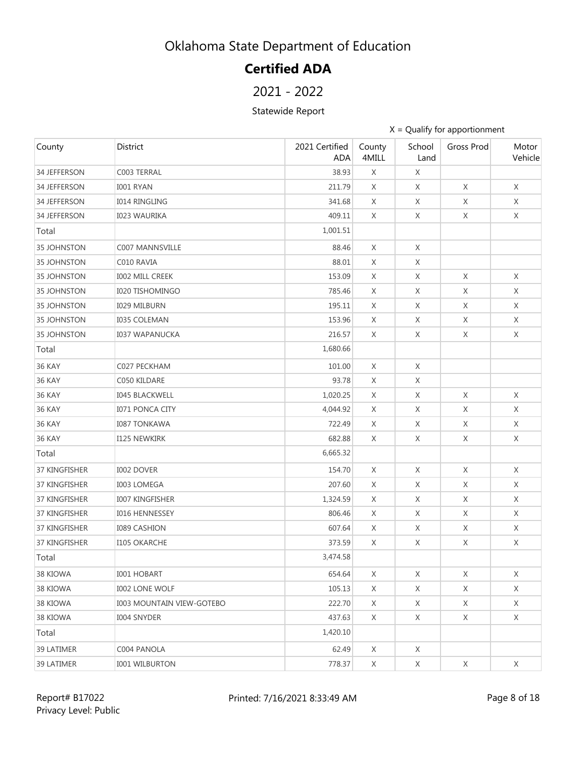# **Certified ADA**

### 2021 - 2022

#### Statewide Report

| County             | District                         | 2021 Certified<br><b>ADA</b> | County<br>4MILL | School<br>Land | Gross Prod  | Motor<br>Vehicle |
|--------------------|----------------------------------|------------------------------|-----------------|----------------|-------------|------------------|
| 34 JEFFERSON       | C003 TERRAL                      | 38.93                        | X               | X              |             |                  |
| 34 JEFFERSON       | <b>I001 RYAN</b>                 | 211.79                       | Χ               | X              | X           | X                |
| 34 JEFFERSON       | <b>I014 RINGLING</b>             | 341.68                       | X               | X              | X           | X                |
| 34 JEFFERSON       | <b>I023 WAURIKA</b>              | 409.11                       | X               | X              | X           | X                |
| Total              |                                  | 1,001.51                     |                 |                |             |                  |
| <b>35 JOHNSTON</b> | <b>C007 MANNSVILLE</b>           | 88.46                        | X               | X              |             |                  |
| <b>35 JOHNSTON</b> | C010 RAVIA                       | 88.01                        | X               | X              |             |                  |
| <b>35 JOHNSTON</b> | <b>IOO2 MILL CREEK</b>           | 153.09                       | X               | X              | X           | X                |
| <b>35 JOHNSTON</b> | <b>I020 TISHOMINGO</b>           | 785.46                       | X               | X              | X           | X                |
| <b>35 JOHNSTON</b> | <b>I029 MILBURN</b>              | 195.11                       | X               | X              | X           | X                |
| <b>35 JOHNSTON</b> | <b>I035 COLEMAN</b>              | 153.96                       | X               | X              | X           | X                |
| 35 JOHNSTON        | <b>I037 WAPANUCKA</b>            | 216.57                       | X               | X              | X           | X                |
| Total              |                                  | 1,680.66                     |                 |                |             |                  |
| 36 KAY             | C027 PECKHAM                     | 101.00                       | X               | X              |             |                  |
| 36 KAY             | C050 KILDARE                     | 93.78                        | X               | X              |             |                  |
| <b>36 KAY</b>      | <b>I045 BLACKWELL</b>            | 1,020.25                     | X               | X              | X           | X                |
| <b>36 KAY</b>      | <b>I071 PONCA CITY</b>           | 4,044.92                     | X               | X              | Χ           | X                |
| <b>36 KAY</b>      | <b>I087 TONKAWA</b>              | 722.49                       | X               | X              | $\times$    | X                |
| <b>36 KAY</b>      | <b>I125 NEWKIRK</b>              | 682.88                       | X               | X              | X           | X                |
| Total              |                                  | 6,665.32                     |                 |                |             |                  |
| 37 KINGFISHER      | <b>I002 DOVER</b>                | 154.70                       | X               | X              | X           | X                |
| 37 KINGFISHER      | <b>I003 LOMEGA</b>               | 207.60                       | X               | X              | X           | X                |
| 37 KINGFISHER      | 1007 KINGFISHER                  | 1,324.59                     | X               | X              | X           | X                |
| 37 KINGFISHER      | <b>I016 HENNESSEY</b>            | 806.46                       | X               | X              | X           | X                |
| 37 KINGFISHER      | <b>I089 CASHION</b>              | 607.64                       | X               | X              | $\mathsf X$ | X                |
| 37 KINGFISHER      | <b>I105 OKARCHE</b>              | 373.59                       | X               | X              | X           | X                |
| Total              |                                  | 3,474.58                     |                 |                |             |                  |
| 38 KIOWA           | <b>I001 HOBART</b>               | 654.64                       | X               | X              | X           | X                |
| 38 KIOWA           | <b>I002 LONE WOLF</b>            | 105.13                       | X               | X              | X           | X                |
| 38 KIOWA           | <b>I003 MOUNTAIN VIEW-GOTEBO</b> | 222.70                       | X               | X              | X           | X                |
| 38 KIOWA           | <b>I004 SNYDER</b>               | 437.63                       | X               | X              | X           | X                |
| Total              |                                  | 1,420.10                     |                 |                |             |                  |
| 39 LATIMER         | C004 PANOLA                      | 62.49                        | X               | X              |             |                  |
| 39 LATIMER         | <b>I001 WILBURTON</b>            | 778.37                       | X               | X              | $\mathsf X$ | X                |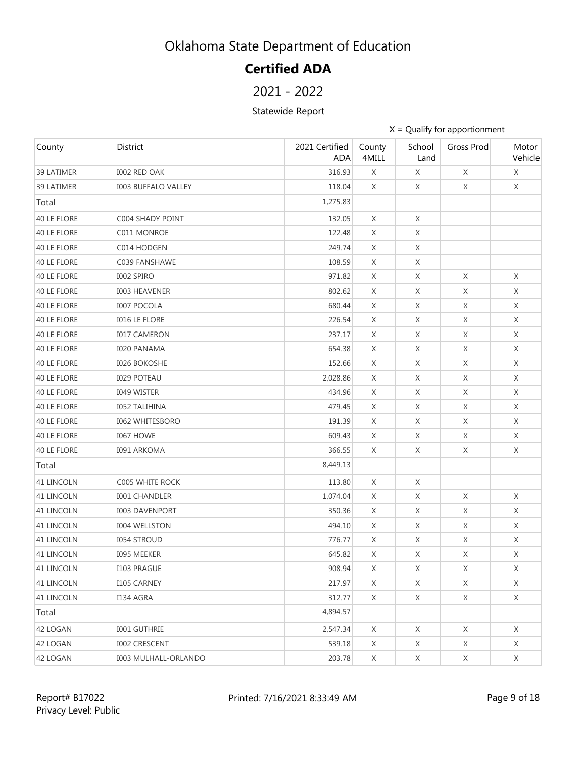# **Certified ADA**

### 2021 - 2022

#### Statewide Report

| County            | District                    | 2021 Certified<br><b>ADA</b> | County<br>4MILL | School<br>Land | Gross Prod | Motor<br>Vehicle |
|-------------------|-----------------------------|------------------------------|-----------------|----------------|------------|------------------|
| 39 LATIMER        | I002 RED OAK                | 316.93                       | X               | X              | X          | X                |
| 39 LATIMER        | <b>I003 BUFFALO VALLEY</b>  | 118.04                       | X               | X              | X          | X                |
| Total             |                             | 1,275.83                     |                 |                |            |                  |
| 40 LE FLORE       | C004 SHADY POINT            | 132.05                       | X               | X              |            |                  |
| 40 LE FLORE       | C011 MONROE                 | 122.48                       | X               | X              |            |                  |
| 40 LE FLORE       | C014 HODGEN                 | 249.74                       | X               | X              |            |                  |
| 40 LE FLORE       | C039 FANSHAWE               | 108.59                       | X               | X              |            |                  |
| 40 LE FLORE       | I002 SPIRO                  | 971.82                       | X               | X              | Χ          | Χ                |
| 40 LE FLORE       | <b>I003 HEAVENER</b>        | 802.62                       | X               | X              | X          | X                |
| 40 LE FLORE       | <b>I007 POCOLA</b>          | 680.44                       | X               | X              | X          | X                |
| 40 LE FLORE       | <b>I016 LE FLORE</b>        | 226.54                       | X               | X              | X          | X                |
| 40 LE FLORE       | <b>I017 CAMERON</b>         | 237.17                       | X               | X              | X          | X                |
| 40 LE FLORE       | <b>I020 PANAMA</b>          | 654.38                       | X               | X              | X          | X                |
| 40 LE FLORE       | <b>I026 BOKOSHE</b>         | 152.66                       | X               | X              | X          | X                |
| 40 LE FLORE       | <b>I029 POTEAU</b>          | 2,028.86                     | X               | X              | X          | X                |
| 40 LE FLORE       | <b>I049 WISTER</b>          | 434.96                       | X               | X              | X          | X                |
| 40 LE FLORE       | <b>I052 TALIHINA</b>        | 479.45                       | X               | X              | X          | X                |
| 40 LE FLORE       | <b>I062 WHITESBORO</b>      | 191.39                       | X               | X              | X          | X                |
| 40 LE FLORE       | <b>I067 HOWE</b>            | 609.43                       | X               | X              | X          | X                |
| 40 LE FLORE       | <b>I091 ARKOMA</b>          | 366.55                       | X               | X              | X          | X                |
| Total             |                             | 8,449.13                     |                 |                |            |                  |
| 41 LINCOLN        | C005 WHITE ROCK             | 113.80                       | X               | X              |            |                  |
| 41 LINCOLN        | <b>I001 CHANDLER</b>        | 1,074.04                     | X               | X              | X          | X                |
| 41 LINCOLN        | <b>I003 DAVENPORT</b>       | 350.36                       | X               | X              | X          | X                |
| 41 LINCOLN        | <b>I004 WELLSTON</b>        | 494.10                       | X               | X              | X          | X                |
| 41 LINCOLN        | <b>I054 STROUD</b>          | 776.77                       | X               | X              | X          | X                |
| 41 LINCOLN        | <b>I095 MEEKER</b>          | 645.82                       | X               | X              | X          | X                |
| 41 LINCOLN        | I103 PRAGUE                 | 908.94                       | X               | X              | Χ          | X                |
| <b>41 LINCOLN</b> | I105 CARNEY                 | 217.97                       | X               | X              | X          | X                |
| 41 LINCOLN        | I134 AGRA                   | 312.77                       | X               | X              | X          | X                |
| Total             |                             | 4,894.57                     |                 |                |            |                  |
| 42 LOGAN          | I001 GUTHRIE                | 2,547.34                     | X               | X              | X          | X                |
| 42 LOGAN          | <b>I002 CRESCENT</b>        | 539.18                       | X               | X              | X          | X                |
| 42 LOGAN          | <b>I003 MULHALL-ORLANDO</b> | 203.78                       | X               | X              | X          | X                |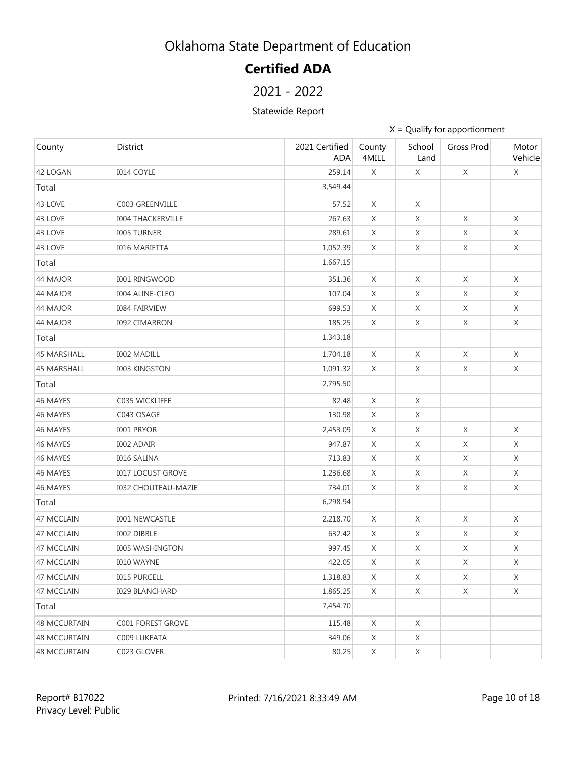# **Certified ADA**

### 2021 - 2022

#### Statewide Report

| County              | District                   | 2021 Certified<br><b>ADA</b> | County<br>4MILL | School<br>Land | Gross Prod  | Motor<br>Vehicle |
|---------------------|----------------------------|------------------------------|-----------------|----------------|-------------|------------------|
| 42 LOGAN            | <b>I014 COYLE</b>          | 259.14                       | X               | X              | X           | X                |
| Total               |                            | 3,549.44                     |                 |                |             |                  |
| 43 LOVE             | C003 GREENVILLE            | 57.52                        | X               | X              |             |                  |
| 43 LOVE             | <b>I004 THACKERVILLE</b>   | 267.63                       | X               | X              | X           | X                |
| 43 LOVE             | <b>I005 TURNER</b>         | 289.61                       | X               | X              | X           | X                |
| 43 LOVE             | <b>I016 MARIETTA</b>       | 1,052.39                     | X               | X              | $\mathsf X$ | X                |
| Total               |                            | 1,667.15                     |                 |                |             |                  |
| 44 MAJOR            | <b>I001 RINGWOOD</b>       | 351.36                       | $\chi$          | X              | X           | X                |
| 44 MAJOR            | <b>I004 ALINE-CLEO</b>     | 107.04                       | X               | X              | $\mathsf X$ | X                |
| 44 MAJOR            | <b>I084 FAIRVIEW</b>       | 699.53                       | X               | X              | X           | X                |
| 44 MAJOR            | <b>I092 CIMARRON</b>       | 185.25                       | X               | X              | $\mathsf X$ | X                |
| Total               |                            | 1,343.18                     |                 |                |             |                  |
| <b>45 MARSHALL</b>  | <b>I002 MADILL</b>         | 1,704.18                     | X               | X              | X           | X                |
| <b>45 MARSHALL</b>  | <b>I003 KINGSTON</b>       | 1,091.32                     | X               | $\mathsf X$    | X           | X                |
| Total               |                            | 2,795.50                     |                 |                |             |                  |
| 46 MAYES            | C035 WICKLIFFE             | 82.48                        | X               | X              |             |                  |
| 46 MAYES            | C043 OSAGE                 | 130.98                       | X               | X              |             |                  |
| 46 MAYES            | <b>I001 PRYOR</b>          | 2,453.09                     | X               | X              | X           | X                |
| 46 MAYES            | <b>I002 ADAIR</b>          | 947.87                       | X               | X              | X           | X                |
| 46 MAYES            | <b>I016 SALINA</b>         | 713.83                       | X               | X              | X           | X                |
| 46 MAYES            | <b>I017 LOCUST GROVE</b>   | 1,236.68                     | X               | X              | X           | X                |
| 46 MAYES            | <b>I032 CHOUTEAU-MAZIE</b> | 734.01                       | X               | X              | X           | X                |
| Total               |                            | 6,298.94                     |                 |                |             |                  |
| 47 MCCLAIN          | I001 NEWCASTLE             | 2,218.70                     | X               | X              | X           | $\times$         |
| 47 MCCLAIN          | I002 DIBBLE                | 632.42                       | X               | X              | X           | $\times$         |
| 47 MCCLAIN          | <b>I005 WASHINGTON</b>     | 997.45                       | X               | X              | X           | X                |
| 47 MCCLAIN          | <b>I010 WAYNE</b>          | 422.05                       | X               | X              | X           | X                |
| 47 MCCLAIN          | <b>I015 PURCELL</b>        | 1,318.83                     | X               | X              | X           | X                |
| 47 MCCLAIN          | <b>I029 BLANCHARD</b>      | 1,865.25                     | X               | X              | X           | X                |
| Total               |                            | 7,454.70                     |                 |                |             |                  |
| <b>48 MCCURTAIN</b> | C001 FOREST GROVE          | 115.48                       | X               | X              |             |                  |
| <b>48 MCCURTAIN</b> | C009 LUKFATA               | 349.06                       | X               | X              |             |                  |
| <b>48 MCCURTAIN</b> | C023 GLOVER                | 80.25                        | X               | X              |             |                  |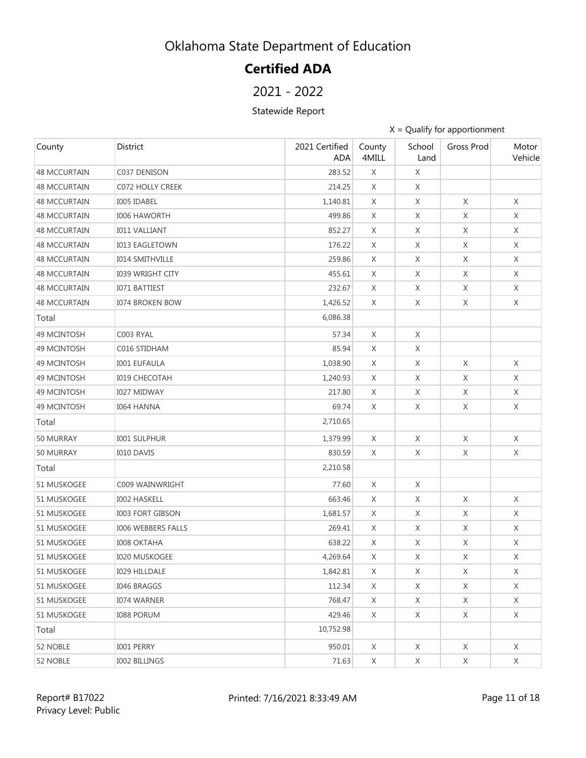# **Certified ADA**

### 2021 - 2022

#### Statewide Report

| County              | District                | 2021 Certified<br><b>ADA</b> | County<br>4MILL | School<br>Land | Gross Prod  | Motor<br>Vehicle |
|---------------------|-------------------------|------------------------------|-----------------|----------------|-------------|------------------|
| <b>48 MCCURTAIN</b> | C037 DENISON            | 283.52                       | X               | X              |             |                  |
| <b>48 MCCURTAIN</b> | C072 HOLLY CREEK        | 214.25                       | X               | X              |             |                  |
| <b>48 MCCURTAIN</b> | <b>I005 IDABEL</b>      | 1,140.81                     | X               | X              | X           | X                |
| <b>48 MCCURTAIN</b> | <b>I006 HAWORTH</b>     | 499.86                       | X               | X              | X           | X                |
| <b>48 MCCURTAIN</b> | <b>I011 VALLIANT</b>    | 852.27                       | X               | X              | X           | Χ                |
| <b>48 MCCURTAIN</b> | <b>I013 EAGLETOWN</b>   | 176.22                       | X               | X              | X           | X                |
| <b>48 MCCURTAIN</b> | <b>I014 SMITHVILLE</b>  | 259.86                       | X               | X              | X           | Χ                |
| <b>48 MCCURTAIN</b> | <b>I039 WRIGHT CITY</b> | 455.61                       | X               | X              | X           | X                |
| <b>48 MCCURTAIN</b> | <b>I071 BATTIEST</b>    | 232.67                       | X               | X              | X           | X                |
| 48 MCCURTAIN        | <b>I074 BROKEN BOW</b>  | 1,426.52                     | X               | X              | X           | X                |
| Total               |                         | 6,086.38                     |                 |                |             |                  |
| 49 MCINTOSH         | C003 RYAL               | 57.34                        | X               | X              |             |                  |
| 49 MCINTOSH         | C016 STIDHAM            | 85.94                        | X               | X              |             |                  |
| 49 MCINTOSH         | <b>I001 EUFAULA</b>     | 1,038.90                     | X               | X              | X           | X                |
| 49 MCINTOSH         | <b>I019 CHECOTAH</b>    | 1,240.93                     | X               | X              | X           | X                |
| 49 MCINTOSH         | <b>I027 MIDWAY</b>      | 217.80                       | X               | X              | X           | X                |
| 49 MCINTOSH         | <b>I064 HANNA</b>       | 69.74                        | X               | X              | X           | X                |
| Total               |                         | 2,710.65                     |                 |                |             |                  |
| 50 MURRAY           | <b>I001 SULPHUR</b>     | 1,379.99                     | $\chi$          | X              | X           | X                |
| 50 MURRAY           | <b>I010 DAVIS</b>       | 830.59                       | X               | X              | X           | Χ                |
| Total               |                         | 2,210.58                     |                 |                |             |                  |
| 51 MUSKOGEE         | C009 WAINWRIGHT         | 77.60                        | X               | X              |             |                  |
| 51 MUSKOGEE         | <b>I002 HASKELL</b>     | 663.46                       | X               | X              | $\times$    | X                |
| 51 MUSKOGEE         | <b>I003 FORT GIBSON</b> | 1,681.57                     | X               | X              | X           | X                |
| 51 MUSKOGEE         | I006 WEBBERS FALLS      | 269.41                       | X               | X              | $\mathsf X$ | X                |
| 51 MUSKOGEE         | <b>I008 OKTAHA</b>      | 638.22                       | X               | X              | X           | X                |
| 51 MUSKOGEE         | <b>I020 MUSKOGEE</b>    | 4,269.64                     | X               | X              | $\mathsf X$ | X                |
| 51 MUSKOGEE         | <b>I029 HILLDALE</b>    | 1,842.81                     | X               | X              | X           | X                |
| 51 MUSKOGEE         | I046 BRAGGS             | 112.34                       | X               | X              | X           | X                |
| 51 MUSKOGEE         | <b>I074 WARNER</b>      | 768.47                       | X               | X              | X           | X                |
| 51 MUSKOGEE         | <b>I088 PORUM</b>       | 429.46                       | X               | X              | X           | X                |
| Total               |                         | 10,752.98                    |                 |                |             |                  |
| 52 NOBLE            | I001 PERRY              | 950.01                       | X               | X              | X           | X                |
| 52 NOBLE            | <b>I002 BILLINGS</b>    | 71.63                        | X               | X              | X           | X                |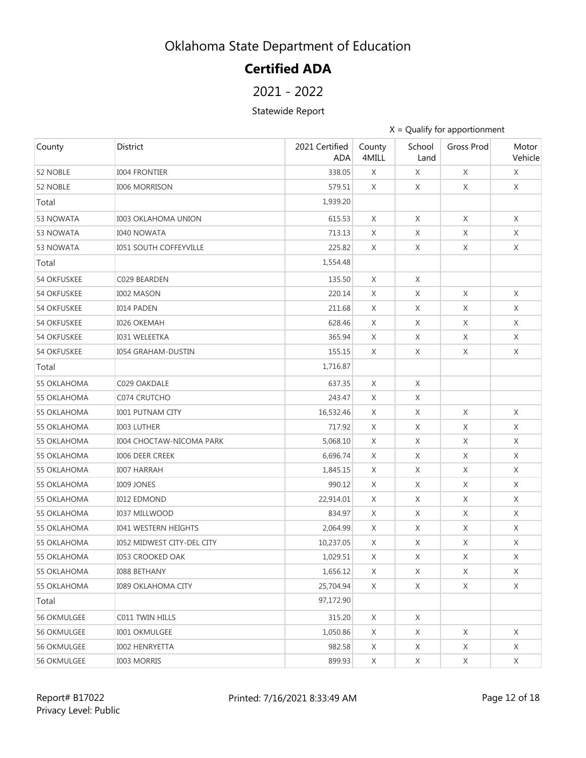# **Certified ADA**

### 2021 - 2022

#### Statewide Report

| County             | District                        | 2021 Certified<br><b>ADA</b> | County<br>4MILL | School<br>Land | Gross Prod | Motor<br>Vehicle |
|--------------------|---------------------------------|------------------------------|-----------------|----------------|------------|------------------|
| 52 NOBLE           | <b>I004 FRONTIER</b>            | 338.05                       | X               | X              | X          | X                |
| 52 NOBLE           | <b>I006 MORRISON</b>            | 579.51                       | X               | X              | X          | X                |
| Total              |                                 | 1,939.20                     |                 |                |            |                  |
| 53 NOWATA          | <b>I003 OKLAHOMA UNION</b>      | 615.53                       | X               | X              | X          | Χ                |
| 53 NOWATA          | <b>I040 NOWATA</b>              | 713.13                       | X               | X              | X          | X                |
| 53 NOWATA          | <b>I051 SOUTH COFFEYVILLE</b>   | 225.82                       | X               | X              | X          | X                |
| Total              |                                 | 1,554.48                     |                 |                |            |                  |
| <b>54 OKFUSKEE</b> | C029 BEARDEN                    | 135.50                       | $\times$        | X              |            |                  |
| <b>54 OKFUSKEE</b> | <b>I002 MASON</b>               | 220.14                       | X               | X              | X          | X                |
| <b>54 OKFUSKEE</b> | <b>I014 PADEN</b>               | 211.68                       | X               | X              | X          | X                |
| <b>54 OKFUSKEE</b> | <b>I026 OKEMAH</b>              | 628.46                       | X               | X              | X          | X                |
| <b>54 OKFUSKEE</b> | <b>I031 WELEETKA</b>            | 365.94                       | X               | X              | X          | X                |
| <b>54 OKFUSKEE</b> | <b>I054 GRAHAM-DUSTIN</b>       | 155.15                       | X               | X              | X          | X                |
| Total              |                                 | 1,716.87                     |                 |                |            |                  |
| 55 OKLAHOMA        | C029 OAKDALE                    | 637.35                       | X               | X              |            |                  |
| 55 OKLAHOMA        | C074 CRUTCHO                    | 243.47                       | X               | X              |            |                  |
| 55 OKLAHOMA        | <b>I001 PUTNAM CITY</b>         | 16,532.46                    | X               | X              | $\times$   | X                |
| 55 OKLAHOMA        | <b>I003 LUTHER</b>              | 717.92                       | X               | X              | X          | X                |
| 55 OKLAHOMA        | <b>I004 CHOCTAW-NICOMA PARK</b> | 5,068.10                     | X               | X              | X          | X                |
| 55 OKLAHOMA        | <b>I006 DEER CREEK</b>          | 6,696.74                     | X               | X              | X          | X                |
| 55 OKLAHOMA        | <b>I007 HARRAH</b>              | 1,845.15                     | X               | Χ              | $\chi$     | X                |
| 55 OKLAHOMA        | <b>I009 JONES</b>               | 990.12                       | X               | X              | X          | X                |
| 55 OKLAHOMA        | <b>I012 EDMOND</b>              | 22,914.01                    | X               | Χ              | X          | X                |
| <b>55 OKLAHOMA</b> | <b>I037 MILLWOOD</b>            | 834.97                       | X               | X              | X          | X                |
| <b>55 OKLAHOMA</b> | <b>I041 WESTERN HEIGHTS</b>     | 2,064.99                     | X               | Χ              | X          | X                |
| <b>55 OKLAHOMA</b> | 1052 MIDWEST CITY-DEL CITY      | 10,237.05                    | X               | Χ              | X          | X                |
| 55 OKLAHOMA        | <b>I053 CROOKED OAK</b>         | 1,029.51                     | X               | X              | X          | X                |
| 55 OKLAHOMA        | <b>I088 BETHANY</b>             | 1,656.12                     | X               | X              | X          | X                |
| 55 OKLAHOMA        | <b>I089 OKLAHOMA CITY</b>       | 25,704.94                    | X               | X              | X          | X                |
| Total              |                                 | 97,172.90                    |                 |                |            |                  |
| <b>56 OKMULGEE</b> | C011 TWIN HILLS                 | 315.20                       | X               | X              |            |                  |
| 56 OKMULGEE        | <b>I001 OKMULGEE</b>            | 1,050.86                     | X               | X              | X          | X                |
| 56 OKMULGEE        | <b>I002 HENRYETTA</b>           | 982.58                       | X               | X              | X          | X                |
| <b>56 OKMULGEE</b> | <b>I003 MORRIS</b>              | 899.93                       | X               | X              | X          | X                |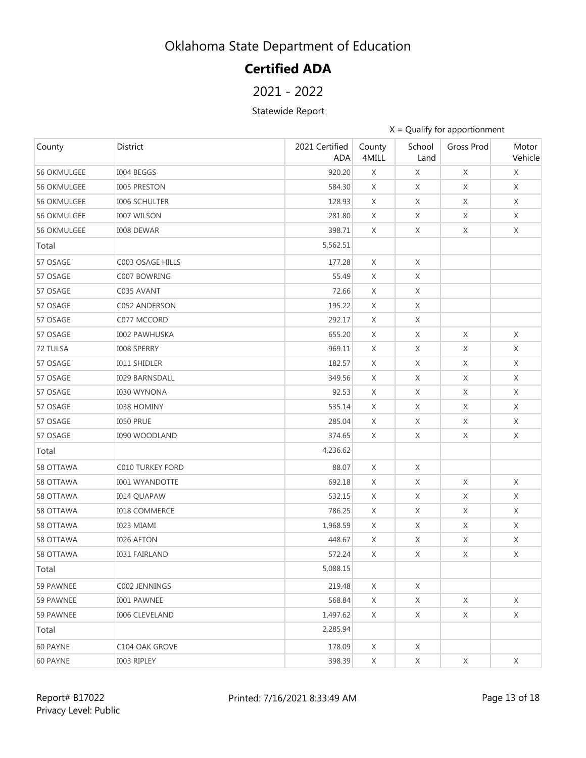# **Certified ADA**

### 2021 - 2022

#### Statewide Report

| County      | District                | 2021 Certified<br><b>ADA</b> | County<br>4MILL | School<br>Land | Gross Prod  | Motor<br>Vehicle |
|-------------|-------------------------|------------------------------|-----------------|----------------|-------------|------------------|
| 56 OKMULGEE | I004 BEGGS              | 920.20                       | X               | X              | X           | X                |
| 56 OKMULGEE | I005 PRESTON            | 584.30                       | X               | X              | X           | X                |
| 56 OKMULGEE | <b>I006 SCHULTER</b>    | 128.93                       | X               | X              | X           | X                |
| 56 OKMULGEE | <b>I007 WILSON</b>      | 281.80                       | X               | X              | X           | X                |
| 56 OKMULGEE | I008 DEWAR              | 398.71                       | X               | X              | X           | X                |
| Total       |                         | 5,562.51                     |                 |                |             |                  |
| 57 OSAGE    | C003 OSAGE HILLS        | 177.28                       | $\chi$          | X              |             |                  |
| 57 OSAGE    | C007 BOWRING            | 55.49                        | X               | X              |             |                  |
| 57 OSAGE    | C035 AVANT              | 72.66                        | X               | X              |             |                  |
| 57 OSAGE    | C052 ANDERSON           | 195.22                       | X               | X              |             |                  |
| 57 OSAGE    | C077 MCCORD             | 292.17                       | X               | X              |             |                  |
| 57 OSAGE    | <b>I002 PAWHUSKA</b>    | 655.20                       | X               | X              | X           | $\times$         |
| 72 TULSA    | I008 SPERRY             | 969.11                       | X               | X              | X           | X                |
| 57 OSAGE    | <b>I011 SHIDLER</b>     | 182.57                       | X               | X              | X           | X                |
| 57 OSAGE    | <b>I029 BARNSDALL</b>   | 349.56                       | X               | X              | X           | X                |
| 57 OSAGE    | <b>I030 WYNONA</b>      | 92.53                        | X               | X              | X           | X                |
| 57 OSAGE    | <b>I038 HOMINY</b>      | 535.14                       | X               | X              | X           | X                |
| 57 OSAGE    | <b>I050 PRUE</b>        | 285.04                       | X               | X              | X           | X                |
| 57 OSAGE    | <b>I090 WOODLAND</b>    | 374.65                       | X               | X              | X           | X                |
| Total       |                         | 4,236.62                     |                 |                |             |                  |
| 58 OTTAWA   | <b>C010 TURKEY FORD</b> | 88.07                        | X               | X              |             |                  |
| 58 OTTAWA   | <b>I001 WYANDOTTE</b>   | 692.18                       | X               | X              | X           | X                |
| 58 OTTAWA   | <b>I014 QUAPAW</b>      | 532.15                       | X               | X              | X           | X                |
| 58 OTTAWA   | <b>I018 COMMERCE</b>    | 786.25                       | X               | X              | X           | X                |
| 58 OTTAWA   | I023 MIAMI              | 1,968.59                     | X               | X              | Χ           | X                |
| 58 OTTAWA   | <b>I026 AFTON</b>       | 448.67                       | X               | X              | $\mathsf X$ | X                |
| 58 OTTAWA   | <b>I031 FAIRLAND</b>    | 572.24                       | X               | X              | X           | X                |
| Total       |                         | 5,088.15                     |                 |                |             |                  |
| 59 PAWNEE   | C002 JENNINGS           | 219.48                       | X               | X              |             |                  |
| 59 PAWNEE   | <b>I001 PAWNEE</b>      | 568.84                       | X               | X              | $\mathsf X$ | X                |
| 59 PAWNEE   | <b>I006 CLEVELAND</b>   | 1,497.62                     | X               | X              | X           | X                |
| Total       |                         | 2,285.94                     |                 |                |             |                  |
| 60 PAYNE    | C104 OAK GROVE          | 178.09                       | X               | X              |             |                  |
| 60 PAYNE    | I003 RIPLEY             | 398.39                       | X               | X              | X           | X                |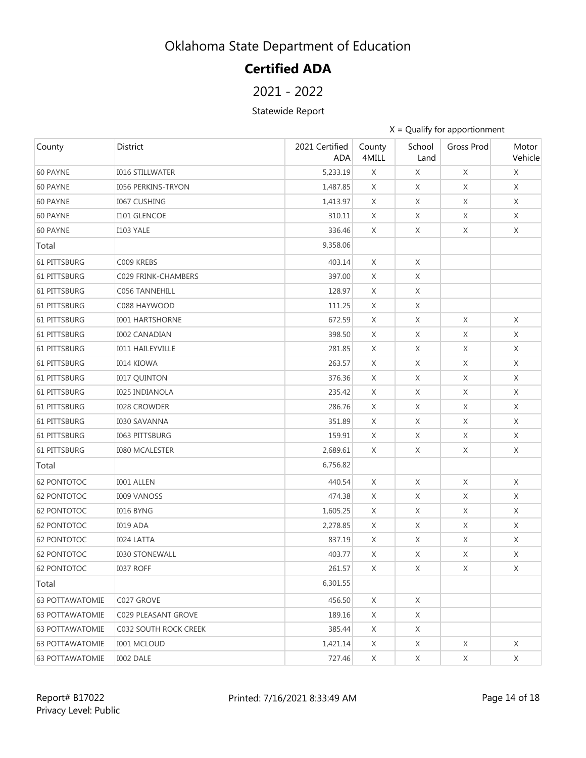# **Certified ADA**

### 2021 - 2022

#### Statewide Report

| County                 | District                  | 2021 Certified<br><b>ADA</b> | County<br>4MILL | School<br>Land | Gross Prod | Motor<br>Vehicle |
|------------------------|---------------------------|------------------------------|-----------------|----------------|------------|------------------|
| 60 PAYNE               | <b>I016 STILLWATER</b>    | 5,233.19                     | X               | X              | X          | X                |
| 60 PAYNE               | <b>I056 PERKINS-TRYON</b> | 1,487.85                     | X               | X              | X          | X                |
| 60 PAYNE               | <b>I067 CUSHING</b>       | 1,413.97                     | X               | X              | X          | X                |
| 60 PAYNE               | I101 GLENCOE              | 310.11                       | X               | X              | X          | X                |
| 60 PAYNE               | <b>I103 YALE</b>          | 336.46                       | X               | X              | X          | X                |
| Total                  |                           | 9,358.06                     |                 |                |            |                  |
| 61 PITTSBURG           | C009 KREBS                | 403.14                       | $\chi$          | X              |            |                  |
| 61 PITTSBURG           | C029 FRINK-CHAMBERS       | 397.00                       | X               | X              |            |                  |
| <b>61 PITTSBURG</b>    | C056 TANNEHILL            | 128.97                       | X               | X              |            |                  |
| <b>61 PITTSBURG</b>    | C088 HAYWOOD              | 111.25                       | X               | X              |            |                  |
| <b>61 PITTSBURG</b>    | <b>I001 HARTSHORNE</b>    | 672.59                       | X               | X              | X          | X                |
| 61 PITTSBURG           | <b>I002 CANADIAN</b>      | 398.50                       | X               | X              | X          | X                |
| <b>61 PITTSBURG</b>    | <b>I011 HAILEYVILLE</b>   | 281.85                       | X               | X              | X          | X                |
| <b>61 PITTSBURG</b>    | <b>I014 KIOWA</b>         | 263.57                       | X               | X              | X          | X                |
| 61 PITTSBURG           | <b>I017 QUINTON</b>       | 376.36                       | X               | X              | X          | X                |
| 61 PITTSBURG           | <b>I025 INDIANOLA</b>     | 235.42                       | X               | X              | X          | X                |
| <b>61 PITTSBURG</b>    | <b>I028 CROWDER</b>       | 286.76                       | X               | X              | X          | X                |
| <b>61 PITTSBURG</b>    | <b>I030 SAVANNA</b>       | 351.89                       | X               | X              | Χ          | X                |
| 61 PITTSBURG           | I063 PITTSBURG            | 159.91                       | X               | X              | X          | X                |
| 61 PITTSBURG           | <b>I080 MCALESTER</b>     | 2,689.61                     | X               | X              | X          | X                |
| Total                  |                           | 6,756.82                     |                 |                |            |                  |
| <b>62 PONTOTOC</b>     | <b>I001 ALLEN</b>         | 440.54                       | X               | X              | X          | X                |
| <b>62 PONTOTOC</b>     | <b>I009 VANOSS</b>        | 474.38                       | X               | X              | X          | X                |
| <b>62 PONTOTOC</b>     | I016 BYNG                 | 1,605.25                     | X               | X              | X          | X                |
| 62 PONTOTOC            | <b>I019 ADA</b>           | 2,278.85                     | X               | X              | X          | X                |
| 62 PONTOTOC            | <b>I024 LATTA</b>         | 837.19                       | X               | X              | X          | X                |
| <b>62 PONTOTOC</b>     | <b>I030 STONEWALL</b>     | 403.77                       | X               | X              | X          | X                |
| 62 PONTOTOC            | I037 ROFF                 | 261.57                       | X               | X              | X          | X                |
| Total                  |                           | 6,301.55                     |                 |                |            |                  |
| <b>63 POTTAWATOMIE</b> | C027 GROVE                | 456.50                       | X               | X              |            |                  |
| <b>63 POTTAWATOMIE</b> | C029 PLEASANT GROVE       | 189.16                       | X               | X              |            |                  |
| <b>63 POTTAWATOMIE</b> | C032 SOUTH ROCK CREEK     | 385.44                       | X               | X              |            |                  |
| <b>63 POTTAWATOMIE</b> | <b>I001 MCLOUD</b>        | 1,421.14                     | X               | X              | X          | X                |
| <b>63 POTTAWATOMIE</b> | I002 DALE                 | 727.46                       | X               | X              | X          | X                |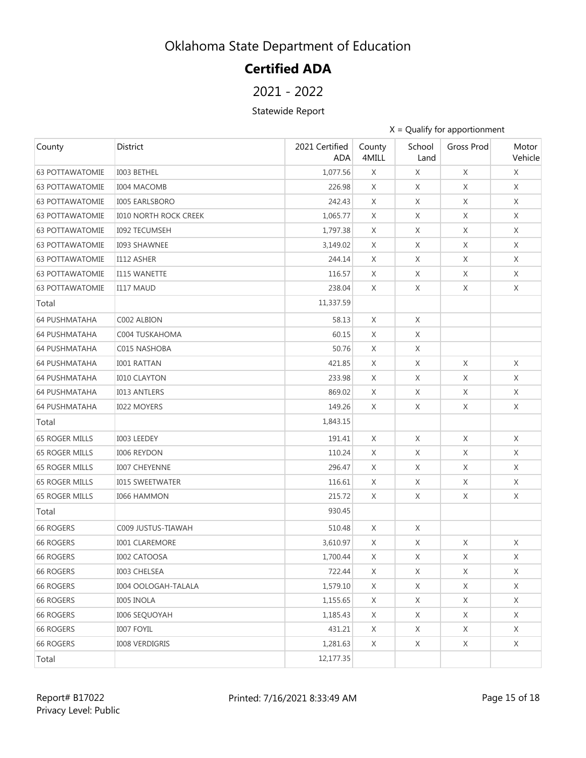# **Certified ADA**

### 2021 - 2022

#### Statewide Report

| County                 | <b>District</b>              | 2021 Certified<br><b>ADA</b> | County<br>4MILL | School<br>Land | Gross Prod  | Motor<br>Vehicle |
|------------------------|------------------------------|------------------------------|-----------------|----------------|-------------|------------------|
| <b>63 POTTAWATOMIE</b> | I003 BETHEL                  | 1,077.56                     | X               | X              | X           | X                |
| <b>63 POTTAWATOMIE</b> | <b>I004 MACOMB</b>           | 226.98                       | X               | X              | X           | X                |
| <b>63 POTTAWATOMIE</b> | <b>I005 EARLSBORO</b>        | 242.43                       | X               | X              | X           | X                |
| <b>63 POTTAWATOMIE</b> | <b>I010 NORTH ROCK CREEK</b> | 1,065.77                     | X               | X              | X           | X                |
| <b>63 POTTAWATOMIE</b> | <b>I092 TECUMSEH</b>         | 1,797.38                     | X               | X              | X           | X                |
| <b>63 POTTAWATOMIE</b> | <b>I093 SHAWNEE</b>          | 3,149.02                     | X               | X              | X           | X                |
| <b>63 POTTAWATOMIE</b> | I112 ASHER                   | 244.14                       | X               | X              | X           | X                |
| <b>63 POTTAWATOMIE</b> | <b>I115 WANETTE</b>          | 116.57                       | X               | X              | X           | X                |
| <b>63 POTTAWATOMIE</b> | <b>I117 MAUD</b>             | 238.04                       | X               | X              | X           | X                |
| Total                  |                              | 11,337.59                    |                 |                |             |                  |
| <b>64 PUSHMATAHA</b>   | C002 ALBION                  | 58.13                        | X               | X              |             |                  |
| <b>64 PUSHMATAHA</b>   | C004 TUSKAHOMA               | 60.15                        | X               | X              |             |                  |
| <b>64 PUSHMATAHA</b>   | C015 NASHOBA                 | 50.76                        | X               | X              |             |                  |
| <b>64 PUSHMATAHA</b>   | <b>I001 RATTAN</b>           | 421.85                       | X               | X              | X           | X                |
| <b>64 PUSHMATAHA</b>   | <b>I010 CLAYTON</b>          | 233.98                       | X               | X              | X           | Χ                |
| <b>64 PUSHMATAHA</b>   | <b>I013 ANTLERS</b>          | 869.02                       | X               | X              | X           | X                |
| <b>64 PUSHMATAHA</b>   | <b>I022 MOYERS</b>           | 149.26                       | X               | X              | X           | X                |
| Total                  |                              | 1,843.15                     |                 |                |             |                  |
| <b>65 ROGER MILLS</b>  | I003 LEEDEY                  | 191.41                       | X               | X              | X           | X                |
| 65 ROGER MILLS         | <b>I006 REYDON</b>           | 110.24                       | X               | X              | X           | Χ                |
| 65 ROGER MILLS         | <b>I007 CHEYENNE</b>         | 296.47                       | Χ               | X              | X           | X                |
| 65 ROGER MILLS         | <b>I015 SWEETWATER</b>       | 116.61                       | X               | X              | X           | Χ                |
| <b>65 ROGER MILLS</b>  | <b>I066 HAMMON</b>           | 215.72                       | X               | X              | X           | X                |
| Total                  |                              | 930.45                       |                 |                |             |                  |
| <b>66 ROGERS</b>       | C009 JUSTUS-TIAWAH           | 510.48                       | X               | X              |             |                  |
| <b>66 ROGERS</b>       | <b>I001 CLAREMORE</b>        | 3,610.97                     | X               | X              | X           | X                |
| 66 ROGERS              | <b>I002 CATOOSA</b>          | 1,700.44                     | X               | X              | $\mathsf X$ | X                |
| 66 ROGERS              | <b>I003 CHELSEA</b>          | 722.44                       | X               | X              | X           | Χ                |
| 66 ROGERS              | <b>I004 OOLOGAH-TALALA</b>   | 1,579.10                     | X               | X              | X           | X                |
| 66 ROGERS              | <b>I005 INOLA</b>            | 1,155.65                     | X               | X              | X           | X                |
| 66 ROGERS              | <b>I006 SEQUOYAH</b>         | 1,185.43                     | X               | X              | X           | X                |
| 66 ROGERS              | <b>I007 FOYIL</b>            | 431.21                       | X               | X              | X           | X                |
| 66 ROGERS              | <b>I008 VERDIGRIS</b>        | 1,281.63                     | X               | X              | X           | X                |
| Total                  |                              | 12,177.35                    |                 |                |             |                  |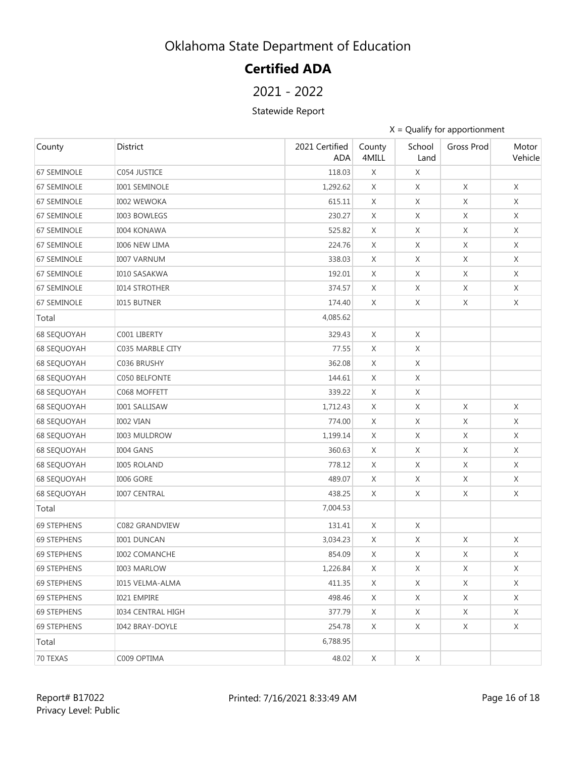# **Certified ADA**

2021 - 2022

#### Statewide Report

| County             | District                 | 2021 Certified<br><b>ADA</b> | County<br>4MILL | School<br>Land | Gross Prod  | Motor<br>Vehicle |
|--------------------|--------------------------|------------------------------|-----------------|----------------|-------------|------------------|
| 67 SEMINOLE        | C054 JUSTICE             | 118.03                       | X               | X              |             |                  |
| 67 SEMINOLE        | <b>I001 SEMINOLE</b>     | 1,292.62                     | X               | X              | $\mathsf X$ | X                |
| <b>67 SEMINOLE</b> | <b>I002 WEWOKA</b>       | 615.11                       | X               | X              | X           | X                |
| <b>67 SEMINOLE</b> | <b>I003 BOWLEGS</b>      | 230.27                       | X               | X              | X           | X                |
| <b>67 SEMINOLE</b> | <b>I004 KONAWA</b>       | 525.82                       | X               | X              | X           | X                |
| <b>67 SEMINOLE</b> | <b>I006 NEW LIMA</b>     | 224.76                       | X               | X              | X           | X                |
| <b>67 SEMINOLE</b> | <b>I007 VARNUM</b>       | 338.03                       | X               | X              | X           | Χ                |
| <b>67 SEMINOLE</b> | <b>I010 SASAKWA</b>      | 192.01                       | X               | X              | X           | X                |
| 67 SEMINOLE        | <b>I014 STROTHER</b>     | 374.57                       | X               | X              | X           | X                |
| 67 SEMINOLE        | <b>I015 BUTNER</b>       | 174.40                       | X               | X              | X           | X                |
| Total              |                          | 4,085.62                     |                 |                |             |                  |
| <b>68 SEQUOYAH</b> | C001 LIBERTY             | 329.43                       | X               | X              |             |                  |
| <b>68 SEQUOYAH</b> | C035 MARBLE CITY         | 77.55                        | X               | X              |             |                  |
| <b>68 SEQUOYAH</b> | C036 BRUSHY              | 362.08                       | X               | X              |             |                  |
| <b>68 SEQUOYAH</b> | C050 BELFONTE            | 144.61                       | X               | X              |             |                  |
| <b>68 SEQUOYAH</b> | C068 MOFFETT             | 339.22                       | X               | X              |             |                  |
| <b>68 SEQUOYAH</b> | <b>I001 SALLISAW</b>     | 1,712.43                     | X               | X              | $\mathsf X$ | X                |
| <b>68 SEQUOYAH</b> | <b>I002 VIAN</b>         | 774.00                       | X               | X              | X           | X                |
| <b>68 SEQUOYAH</b> | <b>I003 MULDROW</b>      | 1,199.14                     | X               | X              | $\mathsf X$ | X                |
| <b>68 SEQUOYAH</b> | <b>I004 GANS</b>         | 360.63                       | X               | X              | X           | X                |
| <b>68 SEQUOYAH</b> | <b>I005 ROLAND</b>       | 778.12                       | X               | X              | X           | Χ                |
| <b>68 SEQUOYAH</b> | <b>I006 GORE</b>         | 489.07                       | X               | X              | X           | X                |
| <b>68 SEQUOYAH</b> | <b>I007 CENTRAL</b>      | 438.25                       | X               | X              | X           | X                |
| Total              |                          | 7,004.53                     |                 |                |             |                  |
| <b>69 STEPHENS</b> | C082 GRANDVIEW           | 131.41                       | X               | X              |             |                  |
| <b>69 STEPHENS</b> | <b>I001 DUNCAN</b>       | 3,034.23                     | X               | $\mathsf X$    | X           | X                |
| 69 STEPHENS        | <b>I002 COMANCHE</b>     | 854.09                       | X               | X              | X           | X                |
| 69 STEPHENS        | I003 MARLOW              | 1,226.84                     | X               | X              | X           | X                |
| <b>69 STEPHENS</b> | <b>I015 VELMA-ALMA</b>   | 411.35                       | X               | X              | X           | X                |
| 69 STEPHENS        | I021 EMPIRE              | 498.46                       | X               | X              | X           | X                |
| 69 STEPHENS        | <b>I034 CENTRAL HIGH</b> | 377.79                       | X               | X              | X           | Χ                |
| <b>69 STEPHENS</b> | <b>I042 BRAY-DOYLE</b>   | 254.78                       | X               | X              | X           | X                |
| Total              |                          | 6,788.95                     |                 |                |             |                  |
| 70 TEXAS           | C009 OPTIMA              | 48.02                        | X               | X              |             |                  |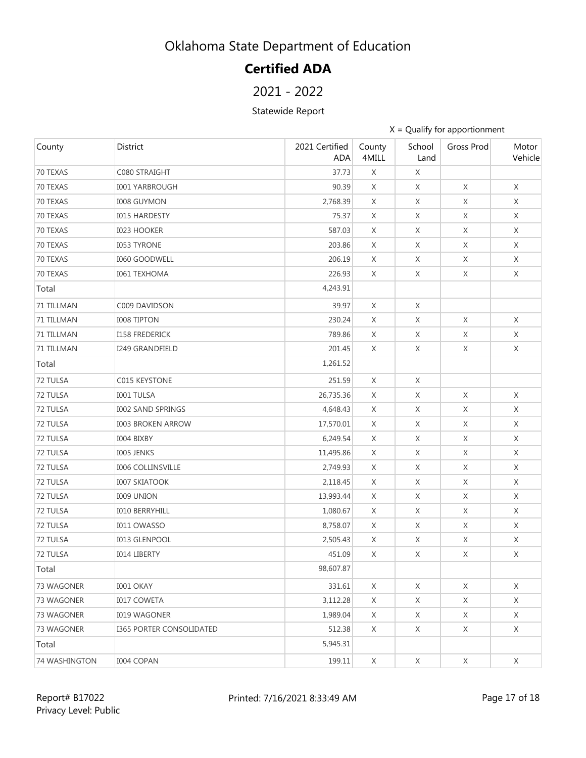# **Certified ADA**

### 2021 - 2022

#### Statewide Report

| County        | District                        | 2021 Certified<br><b>ADA</b> | County<br>4MILL | School<br>Land | Gross Prod  | Motor<br>Vehicle |
|---------------|---------------------------------|------------------------------|-----------------|----------------|-------------|------------------|
| 70 TEXAS      | C080 STRAIGHT                   | 37.73                        | $\mathsf X$     | X              |             |                  |
| 70 TEXAS      | <b>I001 YARBROUGH</b>           | 90.39                        | X               | X              | X           | X                |
| 70 TEXAS      | <b>I008 GUYMON</b>              | 2,768.39                     | X               | X              | X           | X                |
| 70 TEXAS      | <b>I015 HARDESTY</b>            | 75.37                        | X               | X              | X           | X                |
| 70 TEXAS      | <b>I023 HOOKER</b>              | 587.03                       | X               | X              | $\mathsf X$ | X                |
| 70 TEXAS      | <b>I053 TYRONE</b>              | 203.86                       | X               | X              | X           | X                |
| 70 TEXAS      | <b>I060 GOODWELL</b>            | 206.19                       | X               | X              | X           | X                |
| 70 TEXAS      | <b>I061 TEXHOMA</b>             | 226.93                       | X               | X              | X           | X                |
| Total         |                                 | 4,243.91                     |                 |                |             |                  |
| 71 TILLMAN    | C009 DAVIDSON                   | 39.97                        | X               | X              |             |                  |
| 71 TILLMAN    | <b>I008 TIPTON</b>              | 230.24                       | $\times$        | X              | X           | X                |
| 71 TILLMAN    | <b>I158 FREDERICK</b>           | 789.86                       | X               | X              | X           | X                |
| 71 TILLMAN    | <b>I249 GRANDFIELD</b>          | 201.45                       | X               | X              | X           | X                |
| Total         |                                 | 1,261.52                     |                 |                |             |                  |
| 72 TULSA      | C015 KEYSTONE                   | 251.59                       | X               | X              |             |                  |
| 72 TULSA      | <b>I001 TULSA</b>               | 26,735.36                    | X               | X              | X           | X                |
| 72 TULSA      | <b>I002 SAND SPRINGS</b>        | 4,648.43                     | X               | X              | X           | X                |
| 72 TULSA      | <b>I003 BROKEN ARROW</b>        | 17,570.01                    | X               | X              | X           | X                |
| 72 TULSA      | I004 BIXBY                      | 6,249.54                     | X               | X              | X           | X                |
| 72 TULSA      | <b>IOO5 JENKS</b>               | 11,495.86                    | X               | X              | X           | X                |
| 72 TULSA      | <b>I006 COLLINSVILLE</b>        | 2,749.93                     | X               | X              | X           | X                |
| 72 TULSA      | <b>I007 SKIATOOK</b>            | 2,118.45                     | X               | X              | X           | X                |
| 72 TULSA      | <b>I009 UNION</b>               | 13,993.44                    | X               | X              | X           | X                |
| 72 TULSA      | <b>IO10 BERRYHILL</b>           | 1,080.67                     | X               | X              | X           | X                |
| 72 TULSA      | I011 OWASSO                     | 8,758.07                     | X               | X              | X           | X                |
| 72 TULSA      | I013 GLENPOOL                   | 2,505.43                     | X               | X              | $\mathsf X$ | X                |
| 72 TULSA      | <b>IO14 LIBERTY</b>             | 451.09                       | X               | X              | X           | X                |
| Total         |                                 | 98,607.87                    |                 |                |             |                  |
| 73 WAGONER    | I001 OKAY                       | 331.61                       | X               | X              | X           | X                |
| 73 WAGONER    | <b>I017 COWETA</b>              | 3,112.28                     | X               | X              | X           | X                |
| 73 WAGONER    | <b>I019 WAGONER</b>             | 1,989.04                     | X               | X              | X           | X                |
| 73 WAGONER    | <b>I365 PORTER CONSOLIDATED</b> | 512.38                       | X               | X              | X           | X                |
| Total         |                                 | 5,945.31                     |                 |                |             |                  |
| 74 WASHINGTON | <b>I004 COPAN</b>               | 199.11                       | X               | X              | X           | X                |